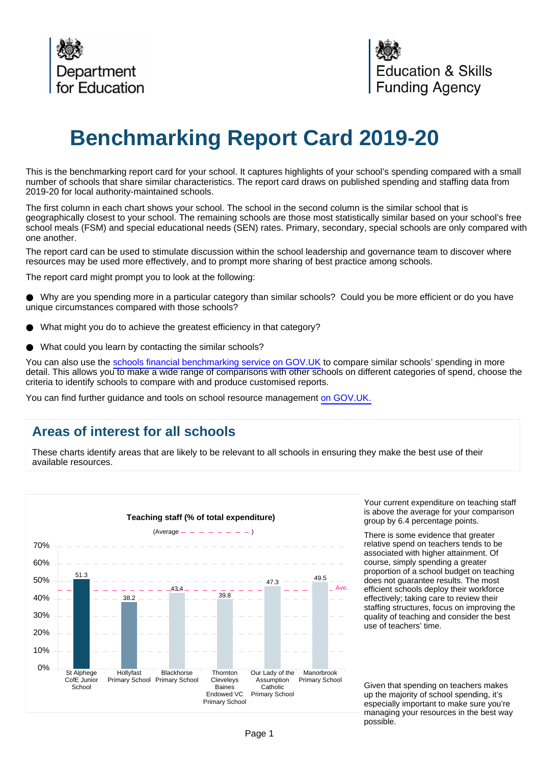

# **Benchmarking Report Card 2019-20**

This is the benchmarking report card for your school. It captures highlights of your school's spending compared with a small number of schools that share similar characteristics. The report card draws on published spending and staffing data from 2019-20 for local authority-maintained schools.

The first column in each chart shows your school. The school in the second column is the similar school that is geographically closest to your school. The remaining schools are those most statistically similar based on your school's free school meals (FSM) and special educational needs (SEN) rates. Primary, secondary, special schools are only compared with one another.

The report card can be used to stimulate discussion within the school leadership and governance team to discover where resources may be used more effectively, and to prompt more sharing of best practice among schools.

The report card might prompt you to look at the following:

Why are you spending more in a particular category than similar schools? Could you be more efficient or do you have unique circumstances compared with those schools?

- What might you do to achieve the greatest efficiency in that category?
- What could you learn by contacting the similar schools?

You can also use the [schools financial benchmarking service on GOV.UK](https://schools-financial-benchmarking.service.gov.uk/?utm_source=brc_academies_18-19&utm_medium=email) to compare similar schools' spending in more detail. This allows you to make a wide range of comparisons with other schools on different categories of spend, choose the criteria to identify schools to compare with and produce customised reports.

You can find further guidance and tools on school resource management [on GOV.UK.](https://www.gov.uk/government/collections/schools-financial-health-and-efficiency)

## **Areas of interest for all schools**

These charts identify areas that are likely to be relevant to all schools in ensuring they make the best use of their available resources.



Your current expenditure on teaching staff is above the average for your comparison group by 6.4 percentage points.

There is some evidence that greater relative spend on teachers tends to be associated with higher attainment. Of course, simply spending a greater proportion of a school budget on teaching does not guarantee results. The most efficient schools deploy their workforce effectively; taking care to review their staffing structures, focus on improving the quality of teaching and consider the best use of teachers' time.

Given that spending on teachers makes up the majority of school spending, it's especially important to make sure you're managing your resources in the best way possible.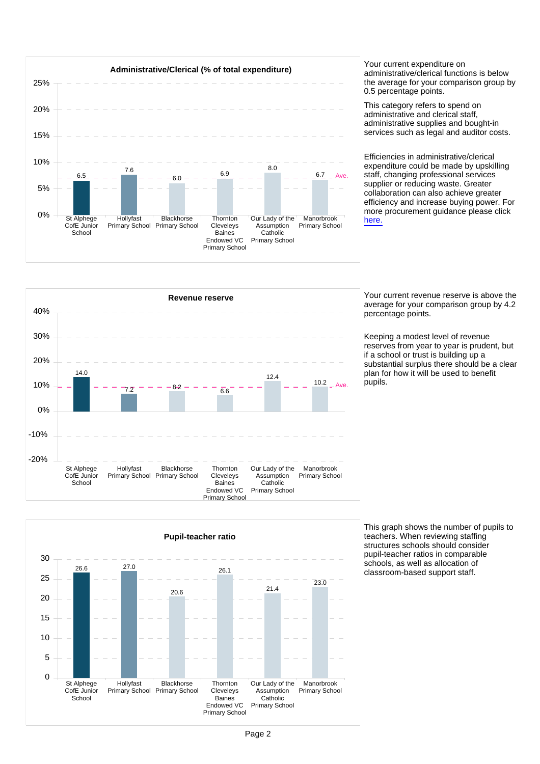

administrative/clerical functions is below the average for your comparison group by 0.5 percentage points.

This category refers to spend on administrative and clerical staff, administrative supplies and bought-in services such as legal and auditor costs.

Efficiencies in administrative/clerical expenditure could be made by upskilling staff, changing professional services supplier or reducing waste. Greater collaboration can also achieve greater efficiency and increase buying power. For more procurement guidance please click [here.](https://www.gov.uk/guidance/buying-for-schools)



average for your comparison group by 4.2 percentage points.

Keeping a modest level of revenue reserves from year to year is prudent, but if a school or trust is building up a substantial surplus there should be a clear plan for how it will be used to benefit pupils.



This graph shows the number of pupils to teachers. When reviewing staffing structures schools should consider pupil-teacher ratios in comparable schools, as well as allocation of classroom-based support staff.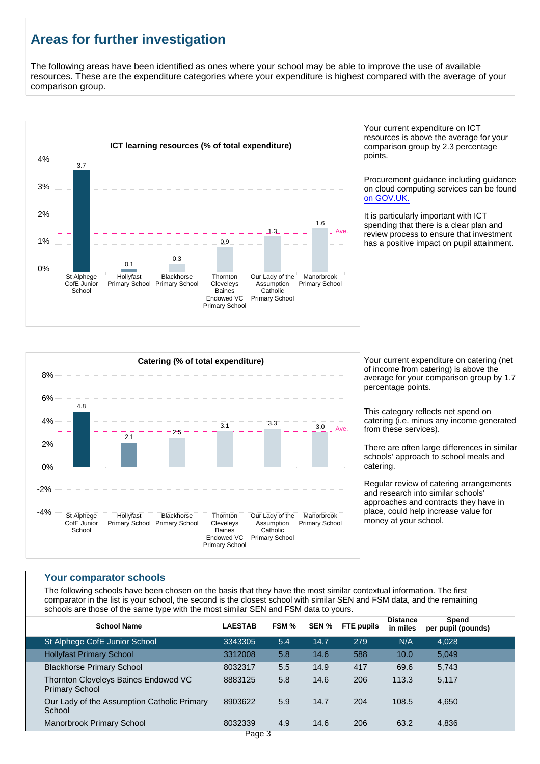# **Areas for further investigation**

The following areas have been identified as ones where your school may be able to improve the use of available resources. These are the expenditure categories where your expenditure is highest compared with the average of your comparison group.



Your current expenditure on ICT resources is above the average for your comparison group by 2.3 percentage points.

Procurement guidance including guidance on cloud computing services can be found [on GOV.UK.](https://www.gov.uk/government/publications/cloud-computing-how-schools-can-move-services-to-the-cloud)

It is particularly important with ICT spending that there is a clear plan and review process to ensure that investment has a positive impact on pupil attainment.



of income from catering) is above the average for your comparison group by 1.7 percentage points.

This category reflects net spend on catering (i.e. minus any income generated from these services).

There are often large differences in similar schools' approach to school meals and catering.

Regular review of catering arrangements and research into similar schools' approaches and contracts they have in place, could help increase value for money at your school.

#### **Your comparator schools**

The following schools have been chosen on the basis that they have the most similar contextual information. The first comparator in the list is your school, the second is the closest school with similar SEN and FSM data, and the remaining schools are those of the same type with the most similar SEN and FSM data to yours.

| <b>School Name</b>                                            | <b>LAESTAB</b> | FSM % | SEN % | <b>FTE</b> pupils | <b>Distance</b><br>in miles | Spend<br>per pupil (pounds) |  |
|---------------------------------------------------------------|----------------|-------|-------|-------------------|-----------------------------|-----------------------------|--|
| St Alphege CofE Junior School                                 | 3343305        | 5.4   | 14.7  | 279               | N/A                         | 4.028                       |  |
| <b>Hollyfast Primary School</b>                               | 3312008        | 5.8   | 14.6  | 588               | 10.0                        | 5,049                       |  |
| <b>Blackhorse Primary School</b>                              | 8032317        | 5.5   | 14.9  | 417               | 69.6                        | 5,743                       |  |
| Thornton Cleveleys Baines Endowed VC<br><b>Primary School</b> | 8883125        | 5.8   | 14.6  | 206               | 113.3                       | 5,117                       |  |
| Our Lady of the Assumption Catholic Primary<br>School         | 8903622        | 5.9   | 14.7  | 204               | 108.5                       | 4,650                       |  |
| Manorbrook Primary School                                     | 8032339        | 4.9   | 14.6  | 206               | 63.2                        | 4,836                       |  |